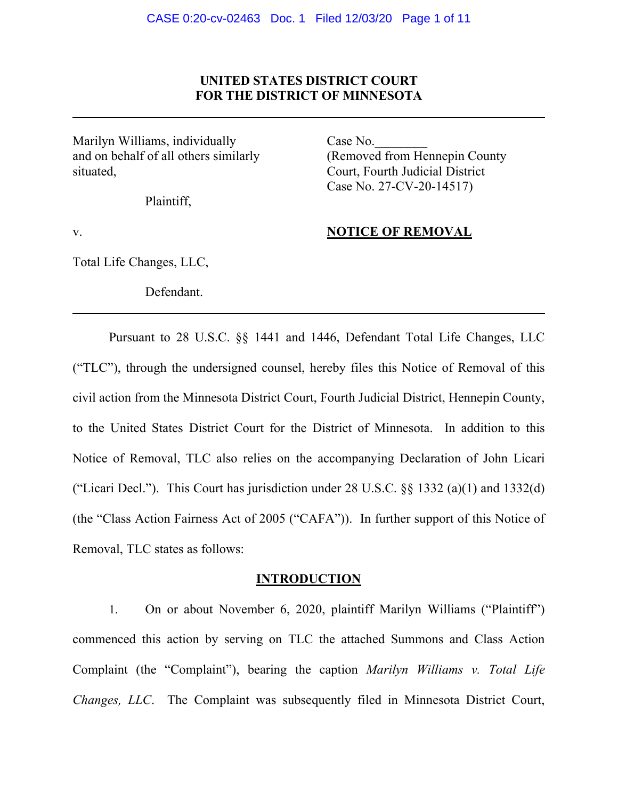## **UNITED STATES DISTRICT COURT FOR THE DISTRICT OF MINNESOTA**

Marilyn Williams, individually Case No. and on behalf of all others similarly (Removed from Hennepin County situated, Court, Fourth Judicial District

Plaintiff,

Case No. 27-CV-20-14517)

## v. **NOTICE OF REMOVAL**

Total Life Changes, LLC,

Defendant.

Pursuant to 28 U.S.C. §§ 1441 and 1446, Defendant Total Life Changes, LLC ("TLC"), through the undersigned counsel, hereby files this Notice of Removal of this civil action from the Minnesota District Court, Fourth Judicial District, Hennepin County, to the United States District Court for the District of Minnesota. In addition to this Notice of Removal, TLC also relies on the accompanying Declaration of John Licari ("Licari Decl."). This Court has jurisdiction under 28 U.S.C.  $\S$ § 1332 (a)(1) and 1332(d) (the "Class Action Fairness Act of 2005 ("CAFA")). In further support of this Notice of Removal, TLC states as follows:

#### **INTRODUCTION**

1. On or about November 6, 2020, plaintiff Marilyn Williams ("Plaintiff") commenced this action by serving on TLC the attached Summons and Class Action Complaint (the "Complaint"), bearing the caption *Marilyn Williams v. Total Life Changes, LLC*. The Complaint was subsequently filed in Minnesota District Court,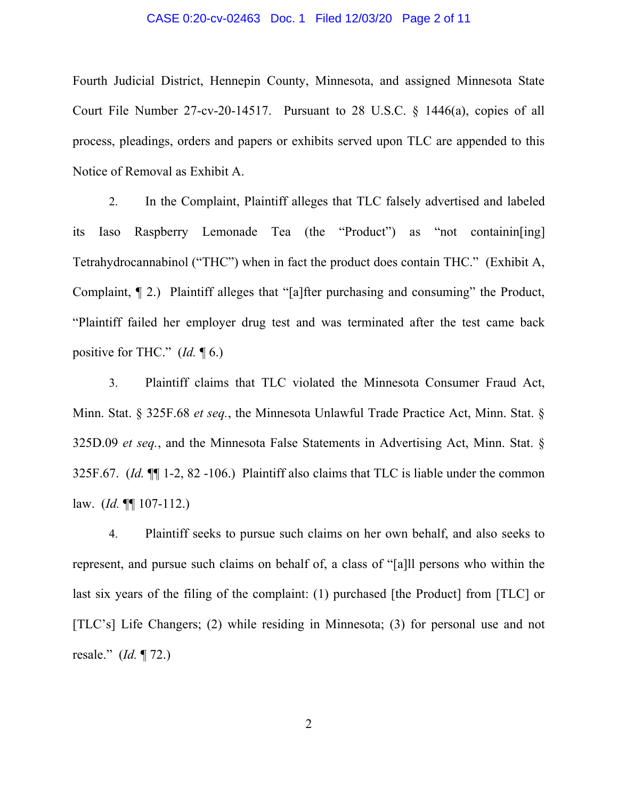#### CASE 0:20-cv-02463 Doc. 1 Filed 12/03/20 Page 2 of 11

Fourth Judicial District, Hennepin County, Minnesota, and assigned Minnesota State Court File Number 27-cv-20-14517. Pursuant to 28 U.S.C. § 1446(a), copies of all process, pleadings, orders and papers or exhibits served upon TLC are appended to this Notice of Removal as Exhibit A.

2. In the Complaint, Plaintiff alleges that TLC falsely advertised and labeled its Iaso Raspberry Lemonade Tea (the "Product") as "not containin[ing] Tetrahydrocannabinol ("THC") when in fact the product does contain THC." (Exhibit A, Complaint, ¶ 2.) Plaintiff alleges that "[a]fter purchasing and consuming" the Product, "Plaintiff failed her employer drug test and was terminated after the test came back positive for THC." (*Id.* ¶ 6.)

3. Plaintiff claims that TLC violated the Minnesota Consumer Fraud Act, Minn. Stat. § 325F.68 *et seq.*, the Minnesota Unlawful Trade Practice Act, Minn. Stat. § 325D.09 *et seq.*, and the Minnesota False Statements in Advertising Act, Minn. Stat. § 325F.67. (*Id.* ¶¶ 1-2, 82 -106.) Plaintiff also claims that TLC is liable under the common law. (*Id.* ¶¶ 107-112.)

4. Plaintiff seeks to pursue such claims on her own behalf, and also seeks to represent, and pursue such claims on behalf of, a class of "[a]ll persons who within the last six years of the filing of the complaint: (1) purchased [the Product] from [TLC] or [TLC's] Life Changers; (2) while residing in Minnesota; (3) for personal use and not resale." (*Id.* ¶ 72.)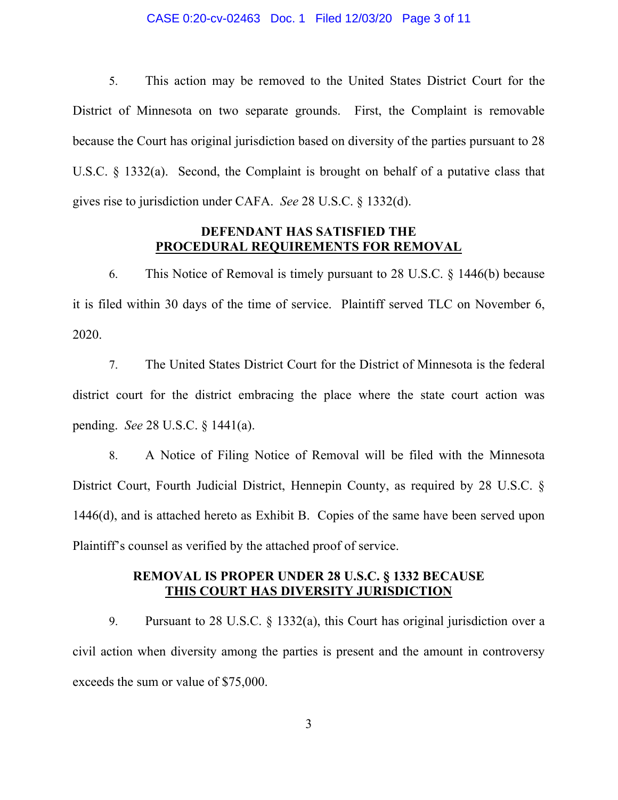#### CASE 0:20-cv-02463 Doc. 1 Filed 12/03/20 Page 3 of 11

5. This action may be removed to the United States District Court for the District of Minnesota on two separate grounds. First, the Complaint is removable because the Court has original jurisdiction based on diversity of the parties pursuant to 28 U.S.C. § 1332(a). Second, the Complaint is brought on behalf of a putative class that gives rise to jurisdiction under CAFA. *See* 28 U.S.C. § 1332(d).

## **DEFENDANT HAS SATISFIED THE PROCEDURAL REQUIREMENTS FOR REMOVAL**

6. This Notice of Removal is timely pursuant to 28 U.S.C. § 1446(b) because it is filed within 30 days of the time of service. Plaintiff served TLC on November 6, 2020.

7. The United States District Court for the District of Minnesota is the federal district court for the district embracing the place where the state court action was pending. *See* 28 U.S.C. § 1441(a).

8. A Notice of Filing Notice of Removal will be filed with the Minnesota District Court, Fourth Judicial District, Hennepin County, as required by 28 U.S.C. § 1446(d), and is attached hereto as Exhibit B. Copies of the same have been served upon Plaintiff's counsel as verified by the attached proof of service.

## **REMOVAL IS PROPER UNDER 28 U.S.C. § 1332 BECAUSE THIS COURT HAS DIVERSITY JURISDICTION**

9. Pursuant to 28 U.S.C. § 1332(a), this Court has original jurisdiction over a civil action when diversity among the parties is present and the amount in controversy exceeds the sum or value of \$75,000.

3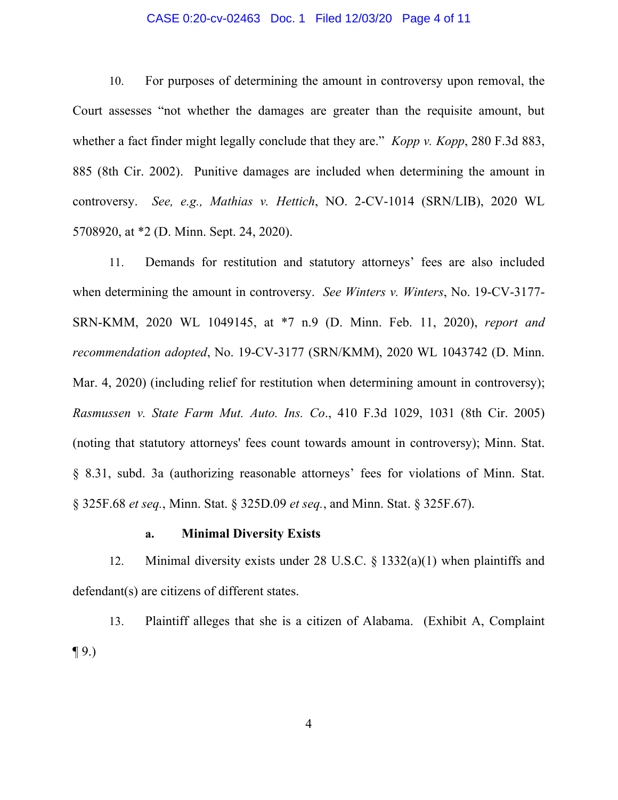#### CASE 0:20-cv-02463 Doc. 1 Filed 12/03/20 Page 4 of 11

10. For purposes of determining the amount in controversy upon removal, the Court assesses "not whether the damages are greater than the requisite amount, but whether a fact finder might legally conclude that they are." *Kopp v. Kopp*, 280 F.3d 883, 885 (8th Cir. 2002). Punitive damages are included when determining the amount in controversy. *See, e.g., Mathias v. Hettich*, NO. 2-CV-1014 (SRN/LIB), 2020 WL 5708920, at \*2 (D. Minn. Sept. 24, 2020).

11. Demands for restitution and statutory attorneys' fees are also included when determining the amount in controversy. *See Winters v. Winters*, No. 19-CV-3177- SRN-KMM, 2020 WL 1049145, at \*7 n.9 (D. Minn. Feb. 11, 2020), *report and recommendation adopted*, No. 19-CV-3177 (SRN/KMM), 2020 WL 1043742 (D. Minn. Mar. 4, 2020) (including relief for restitution when determining amount in controversy); *Rasmussen v. State Farm Mut. Auto. Ins. Co*., 410 F.3d 1029, 1031 (8th Cir. 2005) (noting that statutory attorneys' fees count towards amount in controversy); Minn. Stat. § 8.31, subd. 3a (authorizing reasonable attorneys' fees for violations of Minn. Stat. § 325F.68 *et seq.*, Minn. Stat. § 325D.09 *et seq.*, and Minn. Stat. § 325F.67).

### **a. Minimal Diversity Exists**

12. Minimal diversity exists under 28 U.S.C. § 1332(a)(1) when plaintiffs and defendant(s) are citizens of different states.

13. Plaintiff alleges that she is a citizen of Alabama. (Exhibit A, Complaint  $\P(9)$ 

4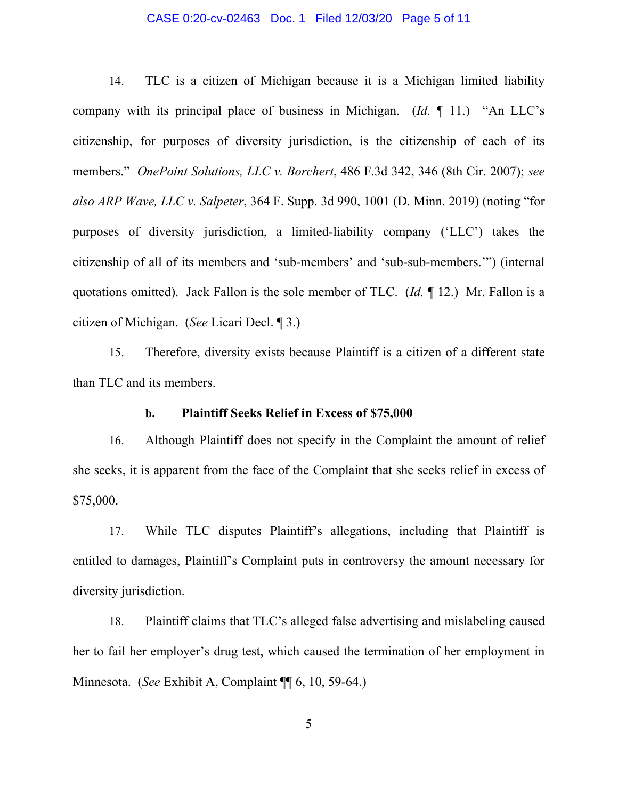#### CASE 0:20-cv-02463 Doc. 1 Filed 12/03/20 Page 5 of 11

14. TLC is a citizen of Michigan because it is a Michigan limited liability company with its principal place of business in Michigan. (*Id.* ¶ 11.) "An LLC's citizenship, for purposes of diversity jurisdiction, is the citizenship of each of its members." *OnePoint Solutions, LLC v. Borchert*, 486 F.3d 342, 346 (8th Cir. 2007); *see also ARP Wave, LLC v. Salpeter*, 364 F. Supp. 3d 990, 1001 (D. Minn. 2019) (noting "for purposes of diversity jurisdiction, a limited-liability company ('LLC') takes the citizenship of all of its members and 'sub-members' and 'sub-sub-members.'") (internal quotations omitted). Jack Fallon is the sole member of TLC. (*Id.* ¶ 12.) Mr. Fallon is a citizen of Michigan. (*See* Licari Decl. ¶ 3.)

15. Therefore, diversity exists because Plaintiff is a citizen of a different state than TLC and its members.

## **b. Plaintiff Seeks Relief in Excess of \$75,000**

16. Although Plaintiff does not specify in the Complaint the amount of relief she seeks, it is apparent from the face of the Complaint that she seeks relief in excess of \$75,000.

17. While TLC disputes Plaintiff's allegations, including that Plaintiff is entitled to damages, Plaintiff's Complaint puts in controversy the amount necessary for diversity jurisdiction.

18. Plaintiff claims that TLC's alleged false advertising and mislabeling caused her to fail her employer's drug test, which caused the termination of her employment in Minnesota. (*See* Exhibit A, Complaint ¶¶ 6, 10, 59-64.)

5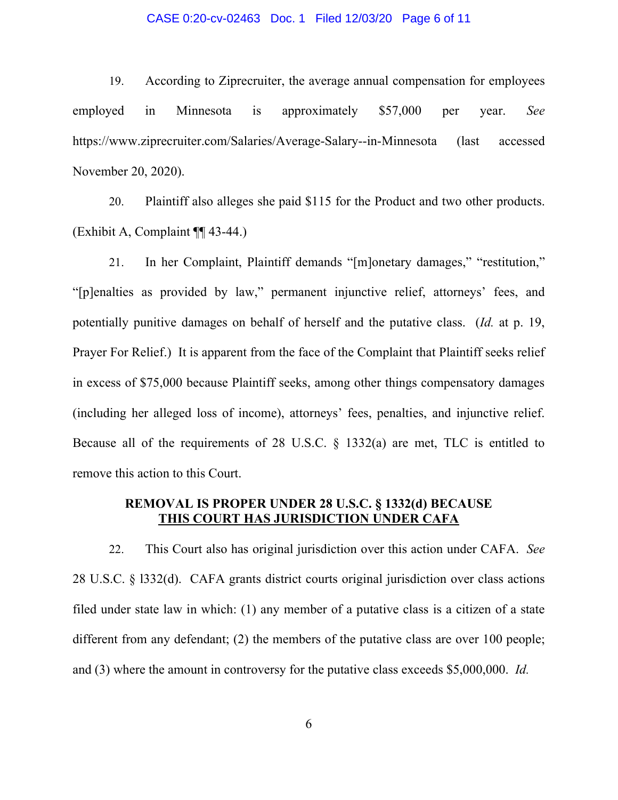#### CASE 0:20-cv-02463 Doc. 1 Filed 12/03/20 Page 6 of 11

19. According to Ziprecruiter, the average annual compensation for employees employed in Minnesota is approximately \$57,000 per year. *See*  https://www.ziprecruiter.com/Salaries/Average-Salary--in-Minnesota (last accessed November 20, 2020).

20. Plaintiff also alleges she paid \$115 for the Product and two other products. (Exhibit A, Complaint ¶¶ 43-44.)

21. In her Complaint, Plaintiff demands "[m]onetary damages," "restitution," "[p]enalties as provided by law," permanent injunctive relief, attorneys' fees, and potentially punitive damages on behalf of herself and the putative class. (*Id.* at p. 19, Prayer For Relief.) It is apparent from the face of the Complaint that Plaintiff seeks relief in excess of \$75,000 because Plaintiff seeks, among other things compensatory damages (including her alleged loss of income), attorneys' fees, penalties, and injunctive relief. Because all of the requirements of 28 U.S.C. § 1332(a) are met, TLC is entitled to remove this action to this Court.

# **REMOVAL IS PROPER UNDER 28 U.S.C. § 1332(d) BECAUSE THIS COURT HAS JURISDICTION UNDER CAFA**

22. This Court also has original jurisdiction over this action under CAFA. *See*  28 U.S.C. § l332(d). CAFA grants district courts original jurisdiction over class actions filed under state law in which: (1) any member of a putative class is a citizen of a state different from any defendant; (2) the members of the putative class are over 100 people; and (3) where the amount in controversy for the putative class exceeds \$5,000,000. *Id.*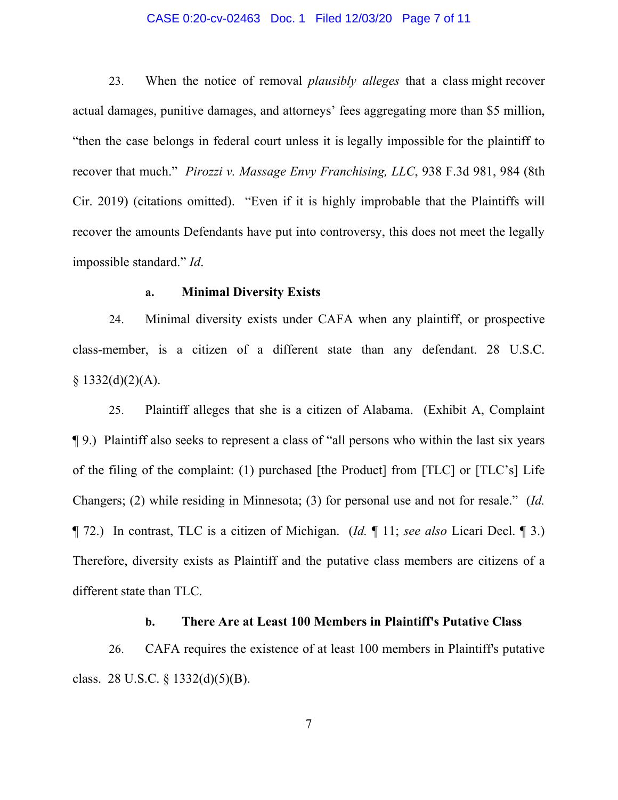#### CASE 0:20-cv-02463 Doc. 1 Filed 12/03/20 Page 7 of 11

23. When the notice of removal *plausibly alleges* that a class might recover actual damages, punitive damages, and attorneys' fees aggregating more than \$5 million, "then the case belongs in federal court unless it is legally impossible for the plaintiff to recover that much." *Pirozzi v. Massage Envy Franchising, LLC*, 938 F.3d 981, 984 (8th Cir. 2019) (citations omitted). "Even if it is highly improbable that the Plaintiffs will recover the amounts Defendants have put into controversy, this does not meet the legally impossible standard." *Id*.

### **a. Minimal Diversity Exists**

24. Minimal diversity exists under CAFA when any plaintiff, or prospective class-member, is a citizen of a different state than any defendant. 28 U.S.C.  $$1332(d)(2)(A).$ 

25. Plaintiff alleges that she is a citizen of Alabama. (Exhibit A, Complaint ¶ 9.) Plaintiff also seeks to represent a class of "all persons who within the last six years of the filing of the complaint: (1) purchased [the Product] from [TLC] or [TLC's] Life Changers; (2) while residing in Minnesota; (3) for personal use and not for resale." (*Id.*  ¶ 72.) In contrast, TLC is a citizen of Michigan. (*Id.* ¶ 11; *see also* Licari Decl. ¶ 3.) Therefore, diversity exists as Plaintiff and the putative class members are citizens of a different state than TLC.

### **b. There Are at Least 100 Members in Plaintiff's Putative Class**

26. CAFA requires the existence of at least 100 members in Plaintiff's putative class. 28 U.S.C.  $\S$  1332(d)(5)(B).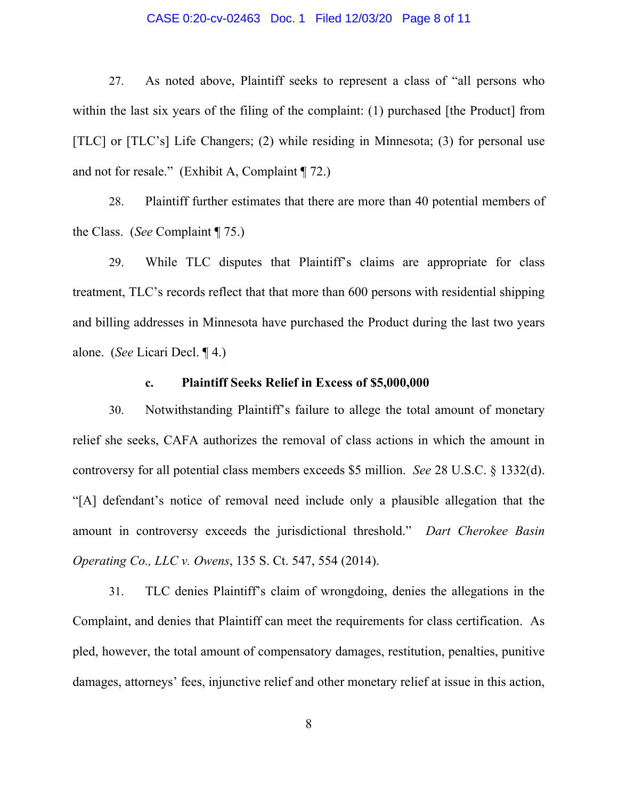#### CASE 0:20-cv-02463 Doc. 1 Filed 12/03/20 Page 8 of 11

27. As noted above, Plaintiff seeks to represent a class of "all persons who within the last six years of the filing of the complaint: (1) purchased [the Product] from [TLC] or [TLC's] Life Changers; (2) while residing in Minnesota; (3) for personal use and not for resale." (Exhibit A, Complaint ¶ 72.)

28. Plaintiff further estimates that there are more than 40 potential members of the Class. (*See* Complaint ¶ 75.)

29. While TLC disputes that Plaintiff's claims are appropriate for class treatment, TLC's records reflect that that more than 600 persons with residential shipping and billing addresses in Minnesota have purchased the Product during the last two years alone. (*See* Licari Decl. ¶ 4.)

### **c. Plaintiff Seeks Relief in Excess of \$5,000,000**

30. Notwithstanding Plaintiff's failure to allege the total amount of monetary relief she seeks, CAFA authorizes the removal of class actions in which the amount in controversy for all potential class members exceeds \$5 million. *See* 28 U.S.C. § 1332(d). "[A] defendant's notice of removal need include only a plausible allegation that the amount in controversy exceeds the jurisdictional threshold." *Dart Cherokee Basin Operating Co., LLC v. Owens*, 135 S. Ct. 547, 554 (2014).

31. TLC denies Plaintiff's claim of wrongdoing, denies the allegations in the Complaint, and denies that Plaintiff can meet the requirements for class certification. As pled, however, the total amount of compensatory damages, restitution, penalties, punitive damages, attorneys' fees, injunctive relief and other monetary relief at issue in this action,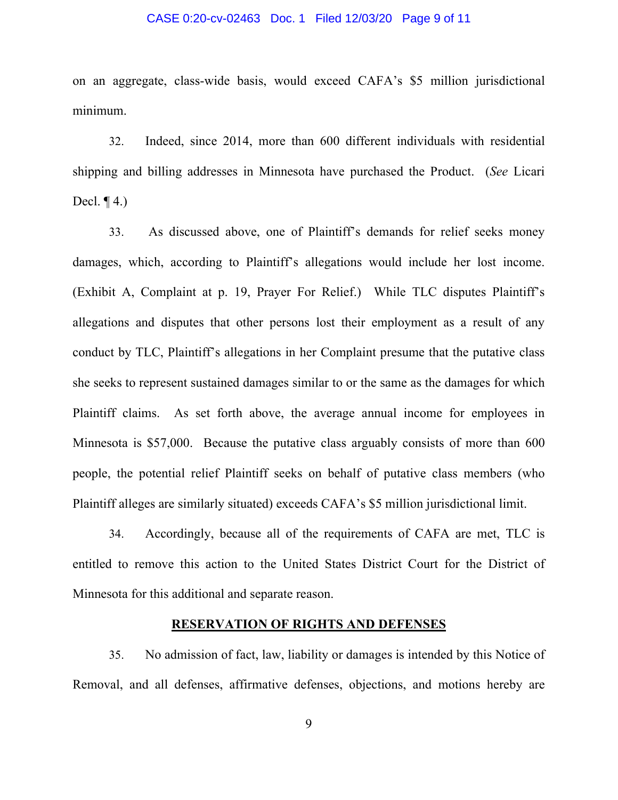#### CASE 0:20-cv-02463 Doc. 1 Filed 12/03/20 Page 9 of 11

on an aggregate, class-wide basis, would exceed CAFA's \$5 million jurisdictional minimum.

32. Indeed, since 2014, more than 600 different individuals with residential shipping and billing addresses in Minnesota have purchased the Product. (*See* Licari Decl.  $\P$  4.)

33. As discussed above, one of Plaintiff's demands for relief seeks money damages, which, according to Plaintiff's allegations would include her lost income. (Exhibit A, Complaint at p. 19, Prayer For Relief.) While TLC disputes Plaintiff's allegations and disputes that other persons lost their employment as a result of any conduct by TLC, Plaintiff's allegations in her Complaint presume that the putative class she seeks to represent sustained damages similar to or the same as the damages for which Plaintiff claims. As set forth above, the average annual income for employees in Minnesota is \$57,000. Because the putative class arguably consists of more than 600 people, the potential relief Plaintiff seeks on behalf of putative class members (who Plaintiff alleges are similarly situated) exceeds CAFA's \$5 million jurisdictional limit.

34. Accordingly, because all of the requirements of CAFA are met, TLC is entitled to remove this action to the United States District Court for the District of Minnesota for this additional and separate reason.

### **RESERVATION OF RIGHTS AND DEFENSES**

35. No admission of fact, law, liability or damages is intended by this Notice of Removal, and all defenses, affirmative defenses, objections, and motions hereby are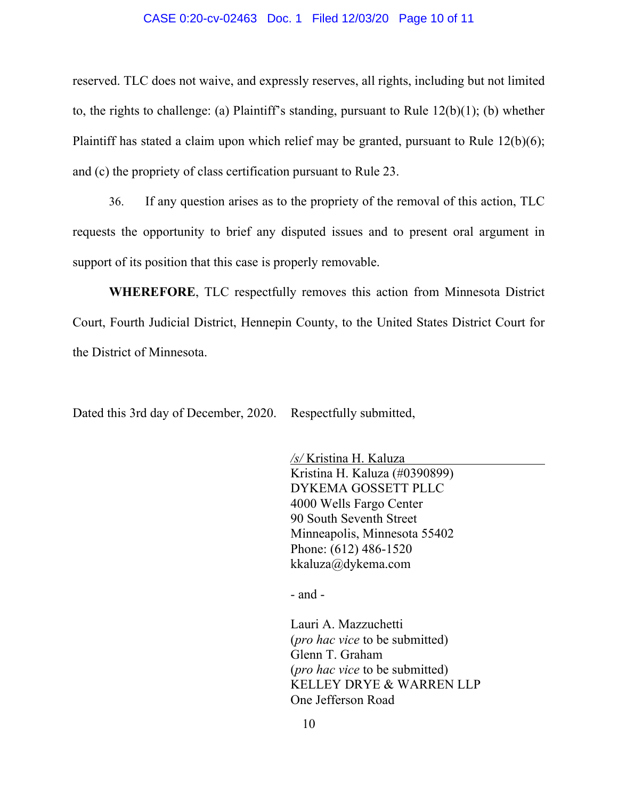#### CASE 0:20-cv-02463 Doc. 1 Filed 12/03/20 Page 10 of 11

reserved. TLC does not waive, and expressly reserves, all rights, including but not limited to, the rights to challenge: (a) Plaintiff's standing, pursuant to Rule 12(b)(1); (b) whether Plaintiff has stated a claim upon which relief may be granted, pursuant to Rule  $12(b)(6)$ ; and (c) the propriety of class certification pursuant to Rule 23.

36. If any question arises as to the propriety of the removal of this action, TLC requests the opportunity to brief any disputed issues and to present oral argument in support of its position that this case is properly removable.

**WHEREFORE**, TLC respectfully removes this action from Minnesota District Court, Fourth Judicial District, Hennepin County, to the United States District Court for the District of Minnesota.

Dated this 3rd day of December, 2020. Respectfully submitted,

*/s/* Kristina H. Kaluza Kristina H. Kaluza (#0390899) DYKEMA GOSSETT PLLC 4000 Wells Fargo Center 90 South Seventh Street Minneapolis, Minnesota 55402 Phone: (612) 486-1520 kkaluza@dykema.com

- and -

Lauri A. Mazzuchetti (*pro hac vice* to be submitted) Glenn T. Graham (*pro hac vice* to be submitted) KELLEY DRYE & WARREN LLP One Jefferson Road